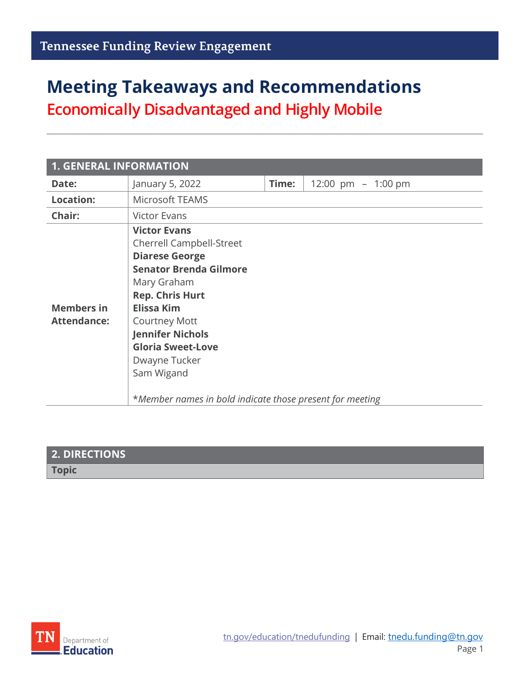## **Meeting Takeaways and Recommendations**

**Economically Disadvantaged and Highly Mobile**

| <b>1. GENERAL INFORMATION</b>           |                                                                                                                                                                                                                                                                                                                                                          |       |                      |
|-----------------------------------------|----------------------------------------------------------------------------------------------------------------------------------------------------------------------------------------------------------------------------------------------------------------------------------------------------------------------------------------------------------|-------|----------------------|
| Date:                                   | January 5, 2022                                                                                                                                                                                                                                                                                                                                          | Time: | 12:00 pm $-$ 1:00 pm |
| <b>Location:</b>                        | Microsoft TEAMS                                                                                                                                                                                                                                                                                                                                          |       |                      |
| Chair:                                  | <b>Victor Evans</b>                                                                                                                                                                                                                                                                                                                                      |       |                      |
| <b>Members in</b><br><b>Attendance:</b> | <b>Victor Evans</b><br><b>Cherrell Campbell-Street</b><br><b>Diarese George</b><br><b>Senator Brenda Gilmore</b><br>Mary Graham<br><b>Rep. Chris Hurt</b><br><b>Elissa Kim</b><br><b>Courtney Mott</b><br><b>Jennifer Nichols</b><br><b>Gloria Sweet-Love</b><br>Dwayne Tucker<br>Sam Wigand<br>*Member names in bold indicate those present for meeting |       |                      |

| 2. DIRECTIONS |  |
|---------------|--|
| <b>Topic</b>  |  |

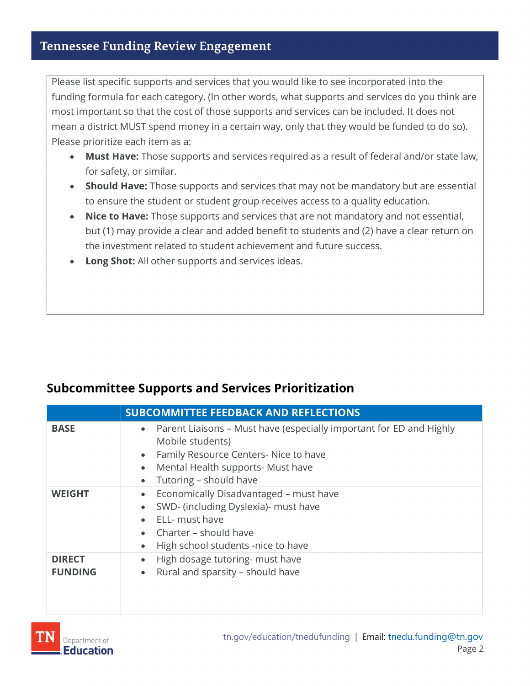## **Tennessee Funding Review Engagement**

Please list specific supports and services that you would like to see incorporated into the funding formula for each category. (In other words, what supports and services do you think are most important so that the cost of those supports and services can be included. It does not mean a district MUST spend money in a certain way, only that they would be funded to do so). Please prioritize each item as a:

- **Must Have:** Those supports and services required as a result of federal and/or state law, for safety, or similar.
- **Should Have:** Those supports and services that may not be mandatory but are essential to ensure the student or student group receives access to a quality education.
- **Nice to Have:** Those supports and services that are not mandatory and not essential, but (1) may provide a clear and added benefit to students and (2) have a clear return on the investment related to student achievement and future success.
- **Long Shot:** All other supports and services ideas.

|  | <b>Subcommittee Supports and Services Prioritization</b> |
|--|----------------------------------------------------------|
|--|----------------------------------------------------------|

|                                 | <b>SUBCOMMITTEE FEEDBACK AND REFLECTIONS</b>                                                                                                                                                                                                        |
|---------------------------------|-----------------------------------------------------------------------------------------------------------------------------------------------------------------------------------------------------------------------------------------------------|
| <b>BASE</b>                     | Parent Liaisons - Must have (especially important for ED and Highly<br>$\bullet$<br>Mobile students)<br>Family Resource Centers- Nice to have<br>$\bullet$<br>Mental Health supports- Must have<br>$\bullet$<br>Tutoring - should have<br>$\bullet$ |
| <b>WEIGHT</b>                   | Economically Disadvantaged - must have<br>$\bullet$<br>SWD- (including Dyslexia)- must have<br>$\bullet$<br>ELL- must have<br>Charter – should have<br>$\bullet$<br>High school students -nice to have<br>$\bullet$                                 |
| <b>DIRECT</b><br><b>FUNDING</b> | High dosage tutoring- must have<br>$\bullet$<br>Rural and sparsity - should have<br>$\bullet$                                                                                                                                                       |